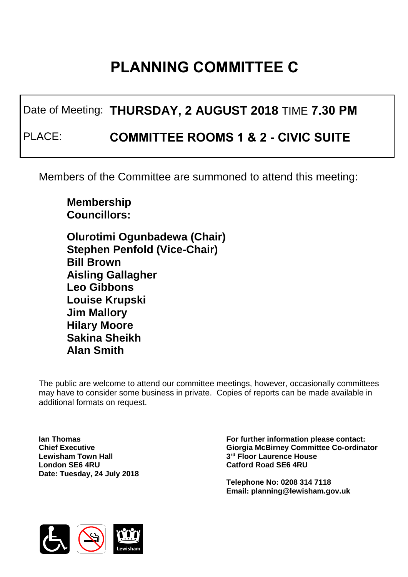## **PLANNING COMMITTEE C**

Date of Meeting: **THURSDAY, 2 AUGUST 2018** TIME **7.30 PM**

PLACE: **COMMITTEE ROOMS 1 & 2 - CIVIC SUITE**

Members of the Committee are summoned to attend this meeting:

**Membership Councillors:** 

**Olurotimi Ogunbadewa (Chair) Stephen Penfold (Vice-Chair) Bill Brown Aisling Gallagher Leo Gibbons Louise Krupski Jim Mallory Hilary Moore Sakina Sheikh Alan Smith**

The public are welcome to attend our committee meetings, however, occasionally committees may have to consider some business in private. Copies of reports can be made available in additional formats on request.

**Ian Thomas Chief Executive Lewisham Town Hall London SE6 4RU Date: Tuesday, 24 July 2018** **For further information please contact: Giorgia McBirney Committee Co-ordinator 3 rd Floor Laurence House Catford Road SE6 4RU**

**Telephone No: 0208 314 7118 Email: planning@lewisham.gov.uk**

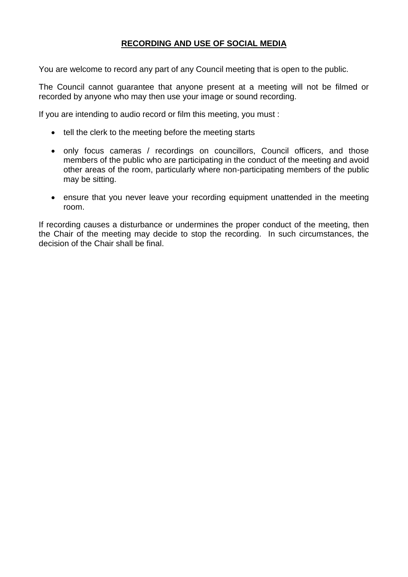## **RECORDING AND USE OF SOCIAL MEDIA**

You are welcome to record any part of any Council meeting that is open to the public.

The Council cannot guarantee that anyone present at a meeting will not be filmed or recorded by anyone who may then use your image or sound recording.

If you are intending to audio record or film this meeting, you must :

- tell the clerk to the meeting before the meeting starts
- only focus cameras / recordings on councillors, Council officers, and those members of the public who are participating in the conduct of the meeting and avoid other areas of the room, particularly where non-participating members of the public may be sitting.
- ensure that you never leave your recording equipment unattended in the meeting room.

If recording causes a disturbance or undermines the proper conduct of the meeting, then the Chair of the meeting may decide to stop the recording. In such circumstances, the decision of the Chair shall be final.